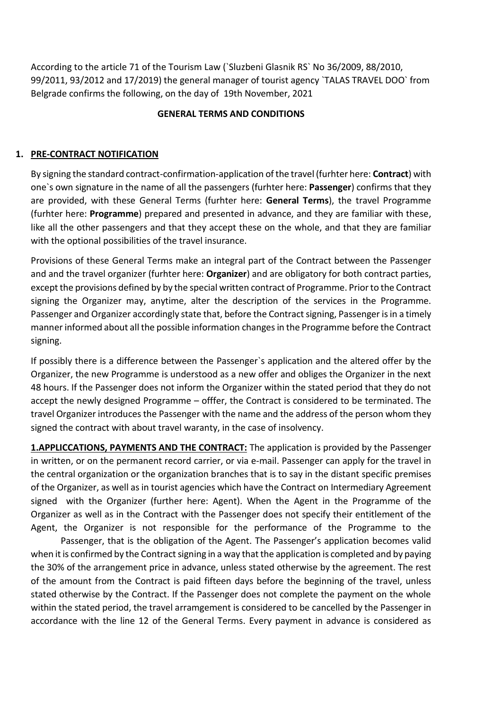According to the article 71 of the Tourism Law (`Sluzbeni Glasnik RS` No 36/2009, 88/2010, 99/2011, 93/2012 and 17/2019) the general manager of tourist agency `TALAS TRAVEL DOO` from Belgrade confirms the following, on the day of 19th November, 2021

#### **GENERAL TERMS AND CONDITIONS**

#### **1. PRE-CONTRACT NOTIFICATION**

By signing the standard contract-confirmation-application of the travel (furhter here: **Contract**) with one`s own signature in the name of all the passengers (furhter here: **Passenger**) confirms that they are provided, with these General Terms (furhter here: **General Terms**), the travel Programme (furhter here: **Programme**) prepared and presented in advance, and they are familiar with these, like all the other passengers and that they accept these on the whole, and that they are familiar with the optional possibilities of the travel insurance.

Provisions of these General Terms make an integral part of the Contract between the Passenger and and the travel organizer (furhter here: **Organizer**) and are obligatory for both contract parties, except the provisions defined by by the special written contract of Programme. Prior to the Contract signing the Organizer may, anytime, alter the description of the services in the Programme. Passenger and Organizer accordingly state that, before the Contract signing, Passenger is in a timely manner informed about all the possible information changes in the Programme before the Contract signing.

If possibly there is a difference between the Passenger`s application and the altered offer by the Organizer, the new Programme is understood as a new offer and obliges the Organizer in the next 48 hours. If the Passenger does not inform the Organizer within the stated period that they do not accept the newly designed Programme – offfer, the Contract is considered to be terminated. The travel Organizer introduces the Passenger with the name and the address of the person whom they signed the contract with about travel waranty, in the case of insolvency.

**1.APPLICCATIONS, PAYMENTS AND THE CONTRACT:** The application is provided by the Passenger in written, or on the permanent record carrier, or via e-mail. Passenger can apply for the travel in the central organization or the organization branches that is to say in the distant specific premises of the Organizer, as well as in tourist agencies which have the Contract on Intermediary Agreement signed with the Organizer (further here: Agent). When the Agent in the Programme of the Organizer as well as in the Contract with the Passenger does not specify their entitlement of the Agent, the Organizer is not responsible for the performance of the Programme to the

Passenger, that is the obligation of the Agent. The Passenger's application becomes valid when it is confirmed by the Contract signing in a way that the application is completed and by paying the 30% of the arrangement price in advance, unless stated otherwise by the agreement. The rest of the amount from the Contract is paid fifteen days before the beginning of the travel, unless stated otherwise by the Contract. If the Passenger does not complete the payment on the whole within the stated period, the travel arramgement is considered to be cancelled by the Passenger in accordance with the line 12 of the General Terms. Every payment in advance is considered as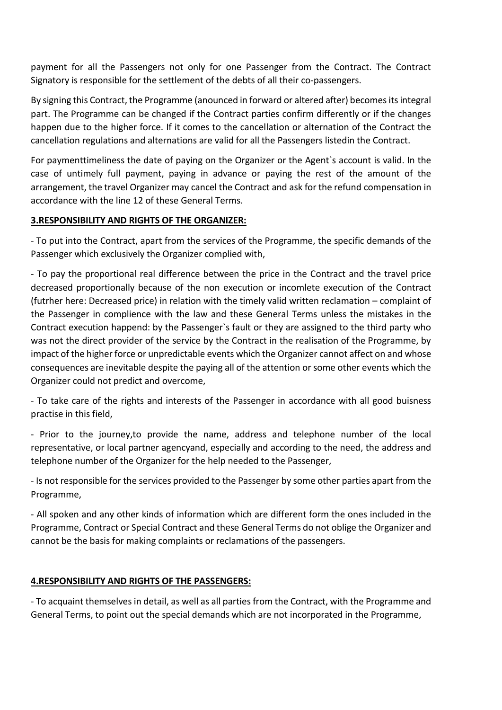payment for all the Passengers not only for one Passenger from the Contract. The Contract Signatory is responsible for the settlement of the debts of all their co-passengers.

By signing this Contract, the Programme (anounced in forward or altered after) becomes its integral part. The Programme can be changed if the Contract parties confirm differently or if the changes happen due to the higher force. If it comes to the cancellation or alternation of the Contract the cancellation regulations and alternations are valid for all the Passengers listedin the Contract.

For paymenttimeliness the date of paying on the Organizer or the Agent`s account is valid. In the case of untimely full payment, paying in advance or paying the rest of the amount of the arrangement, the travel Organizer may cancel the Contract and ask for the refund compensation in accordance with the line 12 of these General Terms.

# **3.RESPONSIBILITY AND RIGHTS OF THE ORGANIZER:**

- To put into the Contract, apart from the services of the Programme, the specific demands of the Passenger which exclusively the Organizer complied with,

- To pay the proportional real difference between the price in the Contract and the travel price decreased proportionally because of the non execution or incomlete execution of the Contract (futrher here: Decreased price) in relation with the timely valid written reclamation – complaint of the Passenger in complience with the law and these General Terms unless the mistakes in the Contract execution happend: by the Passenger`s fault or they are assigned to the third party who was not the direct provider of the service by the Contract in the realisation of the Programme, by impact of the higher force or unpredictable events which the Organizer cannot affect on and whose consequences are inevitable despite the paying all of the attention or some other events which the Organizer could not predict and overcome,

- To take care of the rights and interests of the Passenger in accordance with all good buisness practise in this field,

- Prior to the journey,to provide the name, address and telephone number of the local representative, or local partner agencyand, especially and according to the need, the address and telephone number of the Organizer for the help needed to the Passenger,

- Is not responsible for the services provided to the Passenger by some other parties apart from the Programme,

- All spoken and any other kinds of information which are different form the ones included in the Programme, Contract or Special Contract and these General Terms do not oblige the Organizer and cannot be the basis for making complaints or reclamations of the passengers.

# **4.RESPONSIBILITY AND RIGHTS OF THE PASSENGERS:**

- To acquaint themselves in detail, as well as all parties from the Contract, with the Programme and General Terms, to point out the special demands which are not incorporated in the Programme,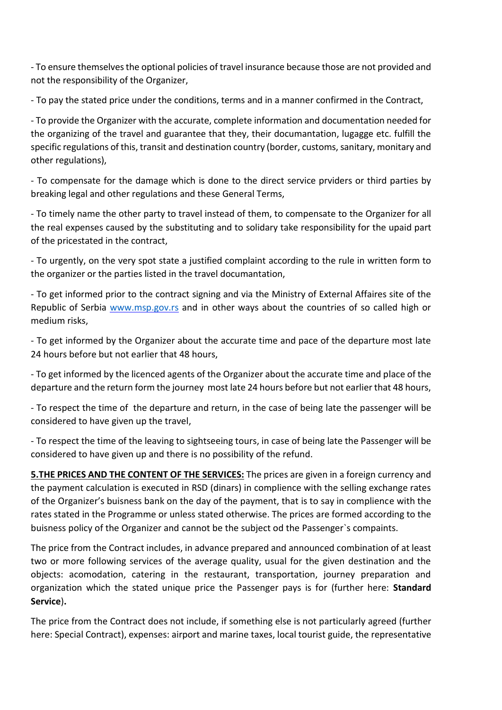- To ensure themselves the optional policies of travel insurance because those are not provided and not the responsibility of the Organizer,

- To pay the stated price under the conditions, terms and in a manner confirmed in the Contract,

- To provide the Organizer with the accurate, complete information and documentation needed for the organizing of the travel and guarantee that they, their documantation, lugagge etc. fulfill the specific regulations of this, transit and destination country (border, customs, sanitary, monitary and other regulations),

- To compensate for the damage which is done to the direct service prviders or third parties by breaking legal and other regulations and these General Terms,

- To timely name the other party to travel instead of them, to compensate to the Organizer for all the real expenses caused by the substituting and to solidary take responsibility for the upaid part of the pricestated in the contract,

- To urgently, on the very spot state a justified complaint according to the rule in written form to the organizer or the parties listed in the travel documantation,

- To get informed prior to the contract signing and via the Ministry of External Affaires site of the Republic of Serbia [www.msp.gov.rs](http://www.msp.gov.rs/) and in other ways about the countries of so called high or medium risks,

- To get informed by the Organizer about the accurate time and pace of the departure most late 24 hours before but not earlier that 48 hours,

- To get informed by the licenced agents of the Organizer about the accurate time and place of the departure and the return form the journey most late 24 hours before but not earlier that 48 hours,

- To respect the time of the departure and return, in the case of being late the passenger will be considered to have given up the travel,

- To respect the time of the leaving to sightseeing tours, in case of being late the Passenger will be considered to have given up and there is no possibility of the refund.

**5.THE PRICES AND THE CONTENT OF THE SERVICES:** The prices are given in a foreign currency and the payment calculation is executed in RSD (dinars) in complience with the selling exchange rates of the Organizer's buisness bank on the day of the payment, that is to say in complience with the rates stated in the Programme or unless stated otherwise. The prices are formed according to the buisness policy of the Organizer and cannot be the subject od the Passenger`s compaints.

The price from the Contract includes, in advance prepared and announced combination of at least two or more following services of the average quality, usual for the given destination and the objects: acomodation, catering in the restaurant, transportation, journey preparation and organization which the stated unique price the Passenger pays is for (further here: **Standard Service**)**.**

The price from the Contract does not include, if something else is not particularly agreed (further here: Special Contract), expenses: airport and marine taxes, local tourist guide, the representative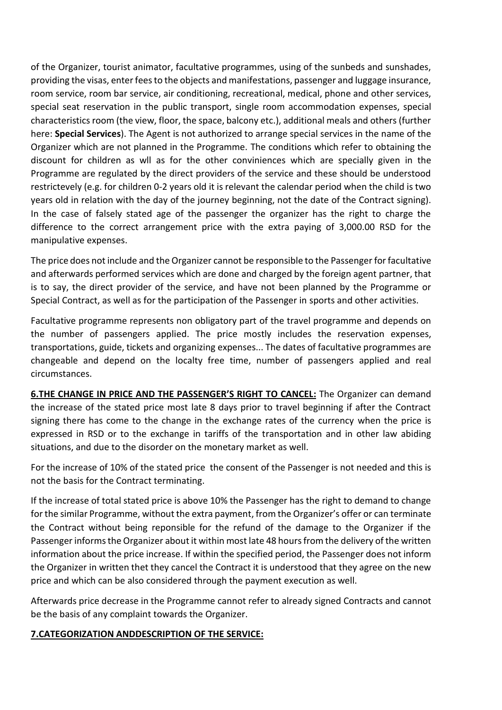of the Organizer, tourist animator, facultative programmes, using of the sunbeds and sunshades, providing the visas, enter fees to the objects and manifestations, passenger and luggage insurance, room service, room bar service, air conditioning, recreational, medical, phone and other services, special seat reservation in the public transport, single room accommodation expenses, special characteristics room (the view, floor, the space, balcony etc.), additional meals and others (further here: **Special Services**). The Agent is not authorized to arrange special services in the name of the Organizer which are not planned in the Programme. The conditions which refer to obtaining the discount for children as wll as for the other conviniences which are specially given in the Programme are regulated by the direct providers of the service and these should be understood restrictevely (e.g. for children 0-2 years old it is relevant the calendar period when the child is two years old in relation with the day of the journey beginning, not the date of the Contract signing). In the case of falsely stated age of the passenger the organizer has the right to charge the difference to the correct arrangement price with the extra paying of 3,000.00 RSD for the manipulative expenses.

The price does not include and the Organizer cannot be responsible to the Passenger for facultative and afterwards performed services which are done and charged by the foreign agent partner, that is to say, the direct provider of the service, and have not been planned by the Programme or Special Contract, as well as for the participation of the Passenger in sports and other activities.

Facultative programme represents non obligatory part of the travel programme and depends on the number of passengers applied. The price mostly includes the reservation expenses, transportations, guide, tickets and organizing expenses... The dates of facultative programmes are changeable and depend on the localty free time, number of passengers applied and real circumstances.

**6.THE CHANGE IN PRICE AND THE PASSENGER'S RIGHT TO CANCEL:** The Organizer can demand the increase of the stated price most late 8 days prior to travel beginning if after the Contract signing there has come to the change in the exchange rates of the currency when the price is expressed in RSD or to the exchange in tariffs of the transportation and in other law abiding situations, and due to the disorder on the monetary market as well.

For the increase of 10% of the stated price the consent of the Passenger is not needed and this is not the basis for the Contract terminating.

If the increase of total stated price is above 10% the Passenger has the right to demand to change for the similar Programme, without the extra payment, from the Organizer's offer or can terminate the Contract without being reponsible for the refund of the damage to the Organizer if the Passenger informs the Organizer about it within most late 48 hours from the delivery of the written information about the price increase. If within the specified period, the Passenger does not inform the Organizer in written thet they cancel the Contract it is understood that they agree on the new price and which can be also considered through the payment execution as well.

Afterwards price decrease in the Programme cannot refer to already signed Contracts and cannot be the basis of any complaint towards the Organizer.

## **7.CATEGORIZATION ANDDESCRIPTION OF THE SERVICE:**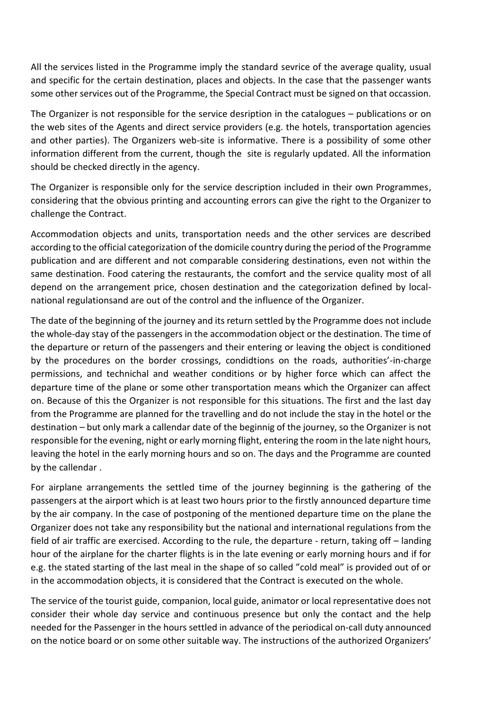All the services listed in the Programme imply the standard sevrice of the average quality, usual and specific for the certain destination, places and objects. In the case that the passenger wants some other services out of the Programme, the Special Contract must be signed on that occassion.

The Organizer is not responsible for the service desription in the catalogues – publications or on the web sites of the Agents and direct service providers (e.g. the hotels, transportation agencies and other parties). The Organizers web-site is informative. There is a possibility of some other information different from the current, though the site is regularly updated. All the information should be checked directly in the agency.

The Organizer is responsible only for the service description included in their own Programmes, considering that the obvious printing and accounting errors can give the right to the Organizer to challenge the Contract.

Accommodation objects and units, transportation needs and the other services are described according to the official categorization of the domicile country during the period of the Programme publication and are different and not comparable considering destinations, even not within the same destination. Food catering the restaurants, the comfort and the service quality most of all depend on the arrangement price, chosen destination and the categorization defined by localnational regulationsand are out of the control and the influence of the Organizer.

The date of the beginning of the journey and its return settled by the Programme does not include the whole-day stay of the passengers in the accommodation object or the destination. The time of the departure or return of the passengers and their entering or leaving the object is conditioned by the procedures on the border crossings, condidtions on the roads, authorities'-in-charge permissions, and technichal and weather conditions or by higher force which can affect the departure time of the plane or some other transportation means which the Organizer can affect on. Because of this the Organizer is not responsible for this situations. The first and the last day from the Programme are planned for the travelling and do not include the stay in the hotel or the destination – but only mark a callendar date of the beginnig of the journey, so the Organizer is not responsible for the evening, night or early morning flight, entering the room in the late night hours, leaving the hotel in the early morning hours and so on. The days and the Programme are counted by the callendar .

For airplane arrangements the settled time of the journey beginning is the gathering of the passengers at the airport which is at least two hours prior to the firstly announced departure time by the air company. In the case of postponing of the mentioned departure time on the plane the Organizer does not take any responsibility but the national and international regulations from the field of air traffic are exercised. According to the rule, the departure - return, taking off – landing hour of the airplane for the charter flights is in the late evening or early morning hours and if for e.g. the stated starting of the last meal in the shape of so called "cold meal" is provided out of or in the accommodation objects, it is considered that the Contract is executed on the whole.

The service of the tourist guide, companion, local guide, animator or local representative does not consider their whole day service and continuous presence but only the contact and the help needed for the Passenger in the hours settled in advance of the periodical on-call duty announced on the notice board or on some other suitable way. The instructions of the authorized Organizers'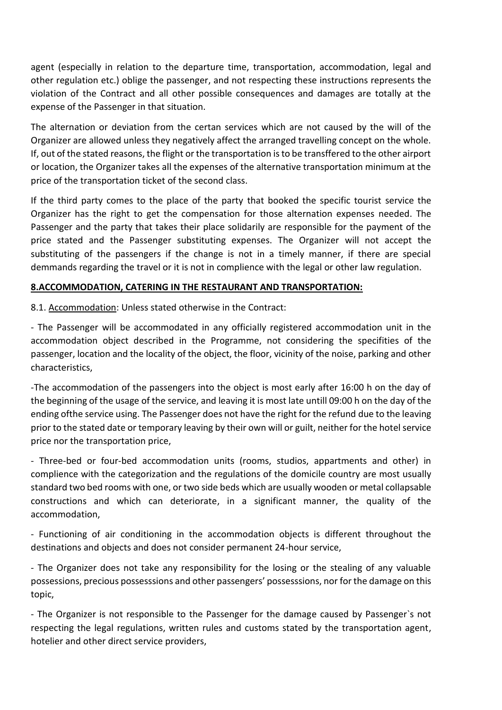agent (especially in relation to the departure time, transportation, accommodation, legal and other regulation etc.) oblige the passenger, and not respecting these instructions represents the violation of the Contract and all other possible consequences and damages are totally at the expense of the Passenger in that situation.

The alternation or deviation from the certan services which are not caused by the will of the Organizer are allowed unless they negatively affect the arranged travelling concept on the whole. If, out of the stated reasons, the flight or the transportation is to be transffered to the other airport or location, the Organizer takes all the expenses of the alternative transportation minimum at the price of the transportation ticket of the second class.

If the third party comes to the place of the party that booked the specific tourist service the Organizer has the right to get the compensation for those alternation expenses needed. The Passenger and the party that takes their place solidarily are responsible for the payment of the price stated and the Passenger substituting expenses. The Organizer will not accept the substituting of the passengers if the change is not in a timely manner, if there are special demmands regarding the travel or it is not in complience with the legal or other law regulation.

#### **8.ACCOMMODATION, CATERING IN THE RESTAURANT AND TRANSPORTATION:**

8.1. Accommodation: Unless stated otherwise in the Contract:

- The Passenger will be accommodated in any officially registered accommodation unit in the accommodation object described in the Programme, not considering the specifities of the passenger, location and the locality of the object, the floor, vicinity of the noise, parking and other characteristics,

-The accommodation of the passengers into the object is most early after 16:00 h on the day of the beginning of the usage of the service, and leaving it is most late untill 09:00 h on the day of the ending ofthe service using. The Passenger does not have the right for the refund due to the leaving prior to the stated date or temporary leaving by their own will or guilt, neither for the hotel service price nor the transportation price,

- Three-bed or four-bed accommodation units (rooms, studios, appartments and other) in complience with the categorization and the regulations of the domicile country are most usually standard two bed rooms with one, or two side beds which are usually wooden or metal collapsable constructions and which can deteriorate, in a significant manner, the quality of the accommodation,

- Functioning of air conditioning in the accommodation objects is different throughout the destinations and objects and does not consider permanent 24-hour service,

- The Organizer does not take any responsibility for the losing or the stealing of any valuable possessions, precious possesssions and other passengers' possesssions, nor for the damage on this topic,

- The Organizer is not responsible to the Passenger for the damage caused by Passenger`s not respecting the legal regulations, written rules and customs stated by the transportation agent, hotelier and other direct service providers,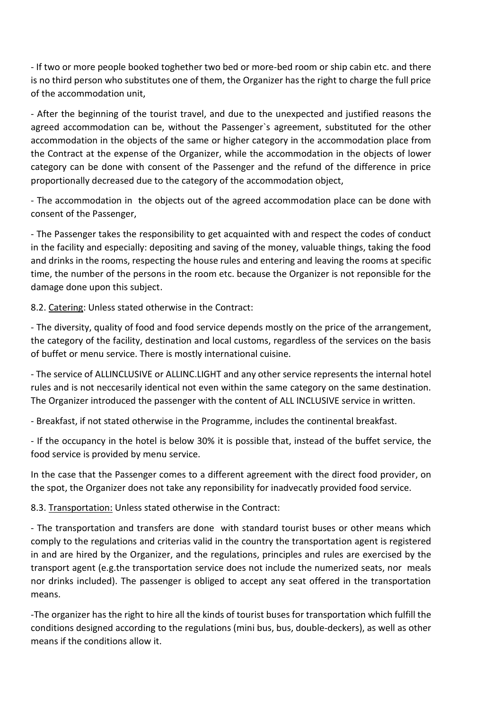- If two or more people booked toghether two bed or more-bed room or ship cabin etc. and there is no third person who substitutes one of them, the Organizer has the right to charge the full price of the accommodation unit,

- After the beginning of the tourist travel, and due to the unexpected and justified reasons the agreed accommodation can be, without the Passenger`s agreement, substituted for the other accommodation in the objects of the same or higher category in the accommodation place from the Contract at the expense of the Organizer, while the accommodation in the objects of lower category can be done with consent of the Passenger and the refund of the difference in price proportionally decreased due to the category of the accommodation object,

- The accommodation in the objects out of the agreed accommodation place can be done with consent of the Passenger,

- The Passenger takes the responsibility to get acquainted with and respect the codes of conduct in the facility and especially: depositing and saving of the money, valuable things, taking the food and drinks in the rooms, respecting the house rules and entering and leaving the rooms at specific time, the number of the persons in the room etc. because the Organizer is not reponsible for the damage done upon this subject.

8.2. Catering: Unless stated otherwise in the Contract:

- The diversity, quality of food and food service depends mostly on the price of the arrangement, the category of the facility, destination and local customs, regardless of the services on the basis of buffet or menu service. There is mostly international cuisine.

- The service of ALLINCLUSIVE or ALLINC.LIGHT and any other service represents the internal hotel rules and is not neccesarily identical not even within the same category on the same destination. The Organizer introduced the passenger with the content of ALL INCLUSIVE service in written.

- Breakfast, if not stated otherwise in the Programme, includes the continental breakfast.

- If the occupancy in the hotel is below 30% it is possible that, instead of the buffet service, the food service is provided by menu service.

In the case that the Passenger comes to a different agreement with the direct food provider, on the spot, the Organizer does not take any reponsibility for inadvecatly provided food service.

8.3. Transportation: Unless stated otherwise in the Contract:

- The transportation and transfers are done with standard tourist buses or other means which comply to the regulations and criterias valid in the country the transportation agent is registered in and are hired by the Organizer, and the regulations, principles and rules are exercised by the transport agent (e.g.the transportation service does not include the numerized seats, nor meals nor drinks included). The passenger is obliged to accept any seat offered in the transportation means.

-The organizer has the right to hire all the kinds of tourist buses for transportation which fulfill the conditions designed according to the regulations (mini bus, bus, double-deckers), as well as other means if the conditions allow it.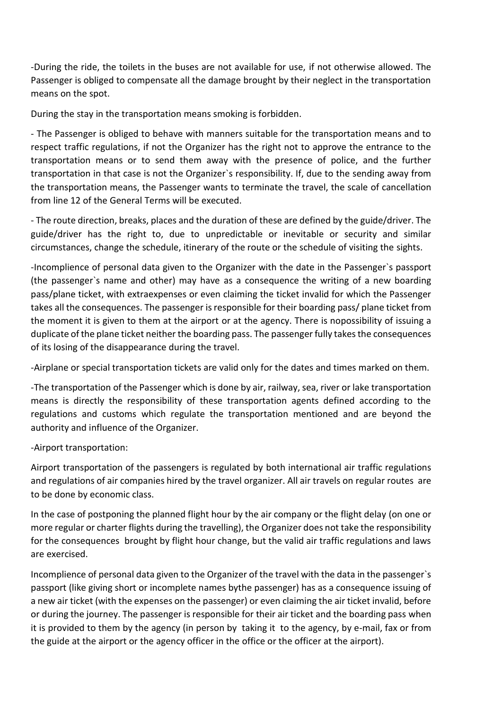-During the ride, the toilets in the buses are not available for use, if not otherwise allowed. The Passenger is obliged to compensate all the damage brought by their neglect in the transportation means on the spot.

During the stay in the transportation means smoking is forbidden.

- The Passenger is obliged to behave with manners suitable for the transportation means and to respect traffic regulations, if not the Organizer has the right not to approve the entrance to the transportation means or to send them away with the presence of police, and the further transportation in that case is not the Organizer`s responsibility. If, due to the sending away from the transportation means, the Passenger wants to terminate the travel, the scale of cancellation from line 12 of the General Terms will be executed.

- The route direction, breaks, places and the duration of these are defined by the guide/driver. The guide/driver has the right to, due to unpredictable or inevitable or security and similar circumstances, change the schedule, itinerary of the route or the schedule of visiting the sights.

-Incomplience of personal data given to the Organizer with the date in the Passenger`s passport (the passenger`s name and other) may have as a consequence the writing of a new boarding pass/plane ticket, with extraexpenses or even claiming the ticket invalid for which the Passenger takes all the consequences. The passenger is responsible for their boarding pass/ plane ticket from the moment it is given to them at the airport or at the agency. There is nopossibility of issuing a duplicate of the plane ticket neither the boarding pass. The passenger fully takes the consequences of its losing of the disappearance during the travel.

-Airplane or special transportation tickets are valid only for the dates and times marked on them.

-The transportation of the Passenger which is done by air, railway, sea, river or lake transportation means is directly the responsibility of these transportation agents defined according to the regulations and customs which regulate the transportation mentioned and are beyond the authority and influence of the Organizer.

-Airport transportation:

Airport transportation of the passengers is regulated by both international air traffic regulations and regulations of air companies hired by the travel organizer. All air travels on regular routes are to be done by economic class.

In the case of postponing the planned flight hour by the air company or the flight delay (on one or more regular or charter flights during the travelling), the Organizer does not take the responsibility for the consequences brought by flight hour change, but the valid air traffic regulations and laws are exercised.

Incomplience of personal data given to the Organizer of the travel with the data in the passenger`s passport (like giving short or incomplete names bythe passenger) has as a consequence issuing of a new air ticket (with the expenses on the passenger) or even claiming the air ticket invalid, before or during the journey. The passenger is responsible for their air ticket and the boarding pass when it is provided to them by the agency (in person by taking it to the agency, by e-mail, fax or from the guide at the airport or the agency officer in the office or the officer at the airport).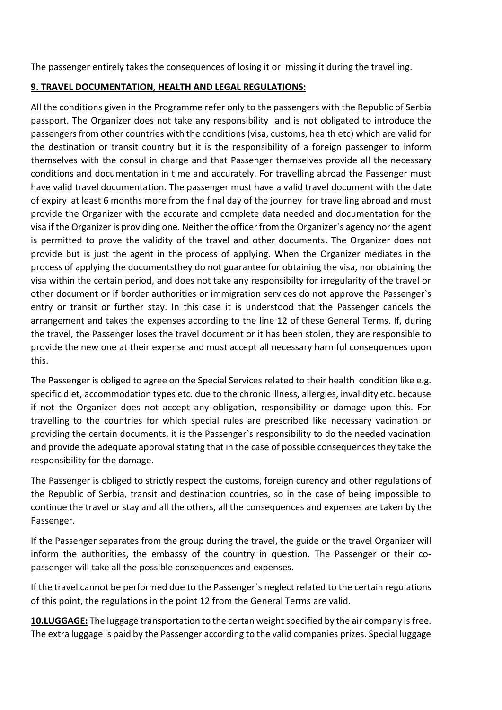The passenger entirely takes the consequences of losing it or missing it during the travelling.

#### **9. TRAVEL DOCUMENTATION, HEALTH AND LEGAL REGULATIONS:**

All the conditions given in the Programme refer only to the passengers with the Republic of Serbia passport. The Organizer does not take any responsibility and is not obligated to introduce the passengers from other countries with the conditions (visa, customs, health etc) which are valid for the destination or transit country but it is the responsibility of a foreign passenger to inform themselves with the consul in charge and that Passenger themselves provide all the necessary conditions and documentation in time and accurately. For travelling abroad the Passenger must have valid travel documentation. The passenger must have a valid travel document with the date of expiry at least 6 months more from the final day of the journey for travelling abroad and must provide the Organizer with the accurate and complete data needed and documentation for the visa if the Organizer is providing one. Neither the officer from the Organizer`s agency nor the agent is permitted to prove the validity of the travel and other documents. The Organizer does not provide but is just the agent in the process of applying. When the Organizer mediates in the process of applying the documentsthey do not guarantee for obtaining the visa, nor obtaining the visa within the certain period, and does not take any responsibilty for irregularity of the travel or other document or if border authorities or immigration services do not approve the Passenger`s entry or transit or further stay. In this case it is understood that the Passenger cancels the arrangement and takes the expenses according to the line 12 of these General Terms. If, during the travel, the Passenger loses the travel document or it has been stolen, they are responsible to provide the new one at their expense and must accept all necessary harmful consequences upon this.

The Passenger is obliged to agree on the Special Services related to their health condition like e.g. specific diet, accommodation types etc. due to the chronic illness, allergies, invalidity etc. because if not the Organizer does not accept any obligation, responsibility or damage upon this. For travelling to the countries for which special rules are prescribed like necessary vacination or providing the certain documents, it is the Passenger`s responsibility to do the needed vacination and provide the adequate approval stating that in the case of possible consequences they take the responsibility for the damage.

The Passenger is obliged to strictly respect the customs, foreign curency and other regulations of the Republic of Serbia, transit and destination countries, so in the case of being impossible to continue the travel or stay and all the others, all the consequences and expenses are taken by the Passenger.

If the Passenger separates from the group during the travel, the guide or the travel Organizer will inform the authorities, the embassy of the country in question. The Passenger or their copassenger will take all the possible consequences and expenses.

If the travel cannot be performed due to the Passenger`s neglect related to the certain regulations of this point, the regulations in the point 12 from the General Terms are valid.

**10.LUGGAGE:** The luggage transportation to the certan weight specified by the air company is free. The extra luggage is paid by the Passenger according to the valid companies prizes. Special luggage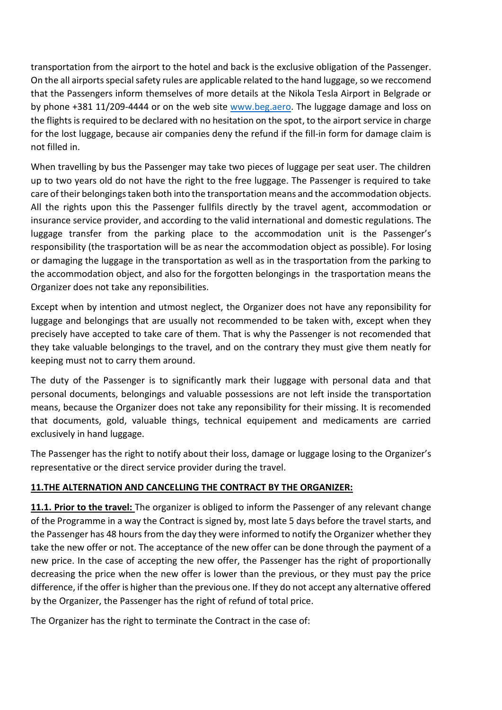transportation from the airport to the hotel and back is the exclusive obligation of the Passenger. On the all airports special safety rules are applicable related to the hand luggage, so we reccomend that the Passengers inform themselves of more details at the Nikola Tesla Airport in Belgrade or by phone +381 11/209-4444 or on the web site [www.beg.aero.](http://www.beg.aero/) The luggage damage and loss on the flights is required to be declared with no hesitation on the spot, to the airport service in charge for the lost luggage, because air companies deny the refund if the fill-in form for damage claim is not filled in.

When travelling by bus the Passenger may take two pieces of luggage per seat user. The children up to two years old do not have the right to the free luggage. The Passenger is required to take care of their belongings taken both into the transportation means and the accommodation objects. All the rights upon this the Passenger fullfils directly by the travel agent, accommodation or insurance service provider, and according to the valid international and domestic regulations. The luggage transfer from the parking place to the accommodation unit is the Passenger's responsibility (the trasportation will be as near the accommodation object as possible). For losing or damaging the luggage in the transportation as well as in the trasportation from the parking to the accommodation object, and also for the forgotten belongings in the trasportation means the Organizer does not take any reponsibilities.

Except when by intention and utmost neglect, the Organizer does not have any reponsibility for luggage and belongings that are usually not recommended to be taken with, except when they precisely have accepted to take care of them. That is why the Passenger is not recomended that they take valuable belongings to the travel, and on the contrary they must give them neatly for keeping must not to carry them around.

The duty of the Passenger is to significantly mark their luggage with personal data and that personal documents, belongings and valuable possessions are not left inside the transportation means, because the Organizer does not take any reponsibility for their missing. It is recomended that documents, gold, valuable things, technical equipement and medicaments are carried exclusively in hand luggage.

The Passenger has the right to notify about their loss, damage or luggage losing to the Organizer's representative or the direct service provider during the travel.

# **11.THE ALTERNATION AND CANCELLING THE CONTRACT BY THE ORGANIZER:**

**11.1. Prior to the travel:** The organizer is obliged to inform the Passenger of any relevant change of the Programme in a way the Contract is signed by, most late 5 days before the travel starts, and the Passenger has 48 hours from the day they were informed to notify the Organizer whether they take the new offer or not. The acceptance of the new offer can be done through the payment of a new price. In the case of accepting the new offer, the Passenger has the right of proportionally decreasing the price when the new offer is lower than the previous, or they must pay the price difference, if the offer is higher than the previous one. If they do not accept any alternative offered by the Organizer, the Passenger has the right of refund of total price.

The Organizer has the right to terminate the Contract in the case of: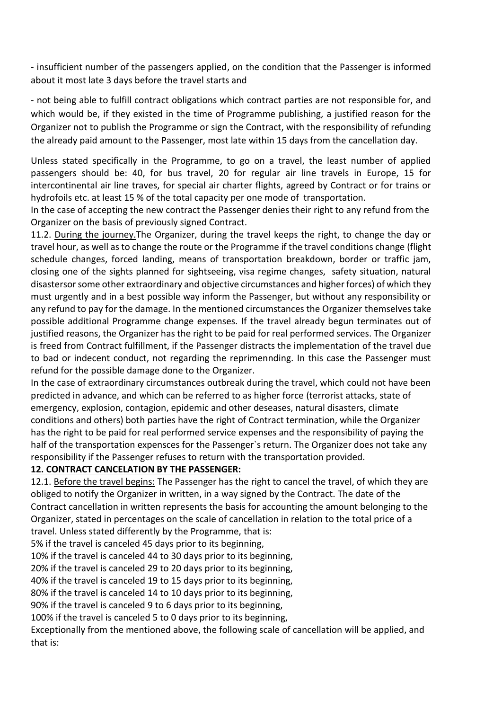- insufficient number of the passengers applied, on the condition that the Passenger is informed about it most late 3 days before the travel starts and

- not being able to fulfill contract obligations which contract parties are not responsible for, and which would be, if they existed in the time of Programme publishing, a justified reason for the Organizer not to publish the Programme or sign the Contract, with the responsibility of refunding the already paid amount to the Passenger, most late within 15 days from the cancellation day.

Unless stated specifically in the Programme, to go on a travel, the least number of applied passengers should be: 40, for bus travel, 20 for regular air line travels in Europe, 15 for intercontinental air line traves, for special air charter flights, agreed by Contract or for trains or hydrofoils etc. at least 15 % of the total capacity per one mode of transportation.

In the case of accepting the new contract the Passenger denies their right to any refund from the Organizer on the basis of previously signed Contract.

11.2. During the journey. The Organizer, during the travel keeps the right, to change the day or travel hour, as well as to change the route or the Programme if the travel conditions change (flight schedule changes, forced landing, means of transportation breakdown, border or traffic jam, closing one of the sights planned for sightseeing, visa regime changes, safety situation, natural disastersor some other extraordinary and objective circumstances and higher forces) of which they must urgently and in a best possible way inform the Passenger, but without any responsibility or any refund to pay for the damage. In the mentioned circumstances the Organizer themselves take possible additional Programme change expenses. If the travel already begun terminates out of justified reasons, the Organizer has the right to be paid for real performed services. The Organizer is freed from Contract fulfillment, if the Passenger distracts the implementation of the travel due to bad or indecent conduct, not regarding the reprimennding. In this case the Passenger must refund for the possible damage done to the Organizer.

In the case of extraordinary circumstances outbreak during the travel, which could not have been predicted in advance, and which can be referred to as higher force (terrorist attacks, state of emergency, explosion, contagion, epidemic and other deseases, natural disasters, climate conditions and others) both parties have the right of Contract termination, while the Organizer has the right to be paid for real performed service expenses and the responsibility of paying the half of the transportation expensces for the Passenger`s return. The Organizer does not take any responsibility if the Passenger refuses to return with the transportation provided.

## **12. CONTRACT CANCELATION BY THE PASSENGER:**

12.1. Before the travel begins: The Passenger has the right to cancel the travel, of which they are obliged to notify the Organizer in written, in a way signed by the Contract. The date of the Contract cancellation in written represents the basis for accounting the amount belonging to the Organizer, stated in percentages on the scale of cancellation in relation to the total price of a travel. Unless stated differently by the Programme, that is:

5% if the travel is canceled 45 days prior to its beginning,

10% if the travel is canceled 44 to 30 days prior to its beginning,

20% if the travel is canceled 29 to 20 days prior to its beginning,

40% if the travel is canceled 19 to 15 days prior to its beginning,

80% if the travel is canceled 14 to 10 days prior to its beginning,

90% if the travel is canceled 9 to 6 days prior to its beginning,

100% if the travel is canceled 5 to 0 days prior to its beginning,

Exceptionally from the mentioned above, the following scale of cancellation will be applied, and that is: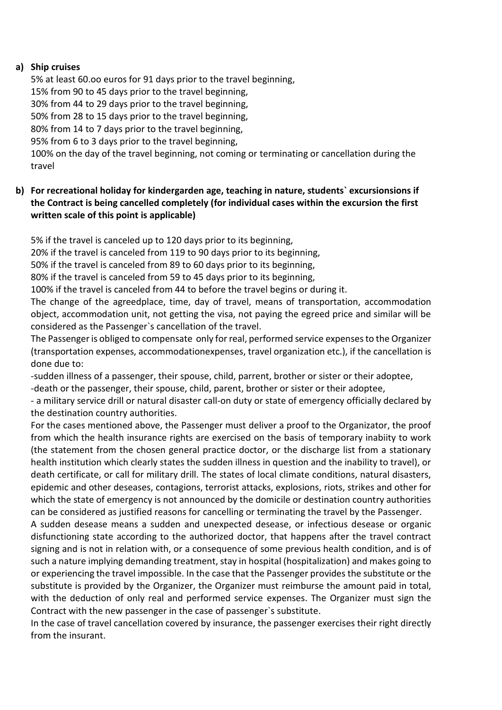#### **a) Ship cruises**

5% at least 60.oo euros for 91 days prior to the travel beginning, 15% from 90 to 45 days prior to the travel beginning, 30% from 44 to 29 days prior to the travel beginning, 50% from 28 to 15 days prior to the travel beginning, 80% from 14 to 7 days prior to the travel beginning, 95% from 6 to 3 days prior to the travel beginning, 100% on the day of the travel beginning, not coming or terminating or cancellation during the travel

# **b) For recreational holiday for kindergarden age, teaching in nature, students` excursionsions if the Contract is being cancelled completely (for individual cases within the excursion the first written scale of this point is applicable)**

5% if the travel is canceled up to 120 days prior to its beginning,

20% if the travel is canceled from 119 to 90 days prior to its beginning,

50% if the travel is canceled from 89 to 60 days prior to its beginning,

80% if the travel is canceled from 59 to 45 days prior to its beginning,

100% if the travel is canceled from 44 to before the travel begins or during it.

The change of the agreedplace, time, day of travel, means of transportation, accommodation object, accommodation unit, not getting the visa, not paying the egreed price and similar will be considered as the Passenger`s cancellation of the travel.

The Passenger is obliged to compensate only for real, performed service expenses to the Organizer (transportation expenses, accommodationexpenses, travel organization etc.), if the cancellation is done due to:

-sudden illness of a passenger, their spouse, child, parrent, brother or sister or their adoptee, -death or the passenger, their spouse, child, parent, brother or sister or their adoptee,

- a military service drill or natural disaster call-on duty or state of emergency officially declared by the destination country authorities.

For the cases mentioned above, the Passenger must deliver a proof to the Organizator, the proof from which the health insurance rights are exercised on the basis of temporary inabiity to work (the statement from the chosen general practice doctor, or the discharge list from a stationary health institution which clearly states the sudden illness in question and the inability to travel), or death certificate, or call for military drill. The states of local climate conditions, natural disasters, epidemic and other deseases, contagions, terrorist attacks, explosions, riots, strikes and other for which the state of emergency is not announced by the domicile or destination country authorities can be considered as justified reasons for cancelling or terminating the travel by the Passenger.

A sudden desease means a sudden and unexpected desease, or infectious desease or organic disfunctioning state according to the authorized doctor, that happens after the travel contract signing and is not in relation with, or a consequence of some previous health condition, and is of such a nature implying demanding treatment, stay in hospital (hospitalization) and makes going to or experiencing the travel impossible. In the case that the Passenger provides the substitute or the substitute is provided by the Organizer, the Organizer must reimburse the amount paid in total, with the deduction of only real and performed service expenses. The Organizer must sign the Contract with the new passenger in the case of passenger`s substitute.

In the case of travel cancellation covered by insurance, the passenger exercises their right directly from the insurant.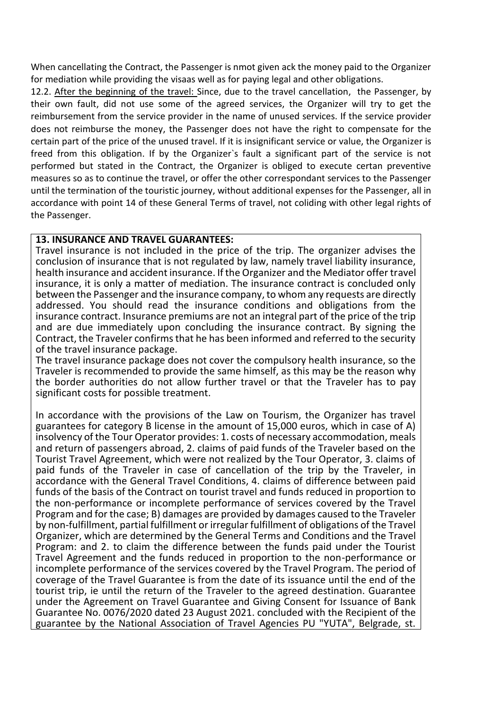When cancellating the Contract, the Passenger is nmot given ack the money paid to the Organizer for mediation while providing the visaas well as for paying legal and other obligations.

12.2. After the beginning of the travel: Since, due to the travel cancellation, the Passenger, by their own fault, did not use some of the agreed services, the Organizer will try to get the reimbursement from the service provider in the name of unused services. If the service provider does not reimburse the money, the Passenger does not have the right to compensate for the certain part of the price of the unused travel. If it is insignificant service or value, the Organizer is freed from this obligation. If by the Organizer`s fault a significant part of the service is not performed but stated in the Contract, the Organizer is obliged to execute certan preventive measures so as to continue the travel, or offer the other correspondant services to the Passenger until the termination of the touristic journey, without additional expenses for the Passenger, all in accordance with point 14 of these General Terms of travel, not coliding with other legal rights of the Passenger.

## **13. INSURANCE AND TRAVEL GUARANTEES:**

Travel insurance is not included in the price of the trip. The organizer advises the conclusion of insurance that is not regulated by law, namely travel liability insurance, health insurance and accident insurance. If the Organizer and the Mediator offer travel insurance, it is only a matter of mediation. The insurance contract is concluded only between the Passenger and the insurance company, to whom any requests are directly addressed. You should read the insurance conditions and obligations from the insurance contract. Insurance premiums are not an integral part of the price of the trip and are due immediately upon concluding the insurance contract. By signing the Contract, the Traveler confirms that he has been informed and referred to the security of the travel insurance package.

The travel insurance package does not cover the compulsory health insurance, so the Traveler is recommended to provide the same himself, as this may be the reason why the border authorities do not allow further travel or that the Traveler has to pay significant costs for possible treatment.

In accordance with the provisions of the Law on Tourism, the Organizer has travel guarantees for category B license in the amount of 15,000 euros, which in case of A) insolvency of the Tour Operator provides: 1. costs of necessary accommodation, meals and return of passengers abroad, 2. claims of paid funds of the Traveler based on the Tourist Travel Agreement, which were not realized by the Tour Operator, 3. claims of paid funds of the Traveler in case of cancellation of the trip by the Traveler, in accordance with the General Travel Conditions, 4. claims of difference between paid funds of the basis of the Contract on tourist travel and funds reduced in proportion to the non-performance or incomplete performance of services covered by the Travel Program and for the case; B) damages are provided by damages caused to the Traveler by non-fulfillment, partial fulfillment or irregular fulfillment of obligations of the Travel Organizer, which are determined by the General Terms and Conditions and the Travel Program: and 2. to claim the difference between the funds paid under the Tourist Travel Agreement and the funds reduced in proportion to the non-performance or incomplete performance of the services covered by the Travel Program. The period of coverage of the Travel Guarantee is from the date of its issuance until the end of the tourist trip, ie until the return of the Traveler to the agreed destination. Guarantee under the Agreement on Travel Guarantee and Giving Consent for Issuance of Bank Guarantee No. 0076/2020 dated 23 August 2021. concluded with the Recipient of the guarantee by the National Association of Travel Agencies PU "YUTA", Belgrade, st.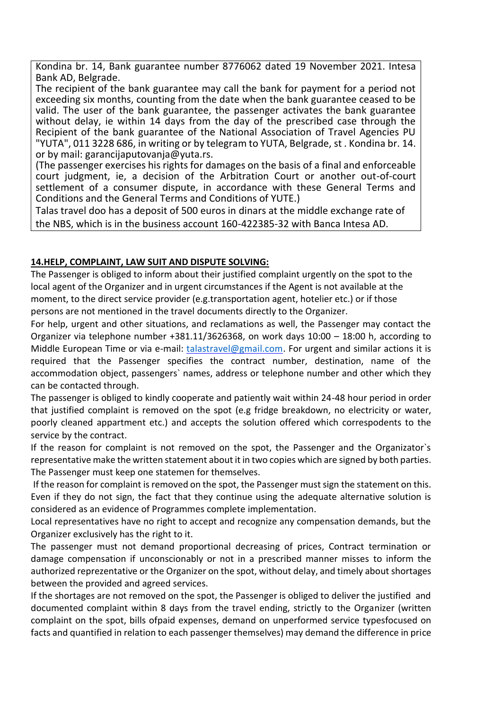Kondina br. 14, Bank guarantee number 8776062 dated 19 November 2021. Intesa Bank AD, Belgrade.

The recipient of the bank guarantee may call the bank for payment for a period not exceeding six months, counting from the date when the bank guarantee ceased to be valid. The user of the bank guarantee, the passenger activates the bank guarantee without delay, ie within 14 days from the day of the prescribed case through the Recipient of the bank guarantee of the National Association of Travel Agencies PU "YUTA", 011 3228 686, in writing or by telegram to YUTA, Belgrade, st . Kondina br. 14. or by mail: garancijaputovanja@yuta.rs.

(The passenger exercises his rights for damages on the basis of a final and enforceable court judgment, ie, a decision of the Arbitration Court or another out-of-court settlement of a consumer dispute, in accordance with these General Terms and Conditions and the General Terms and Conditions of YUTE.)

Talas travel doo has a deposit of 500 euros in dinars at the middle exchange rate of the NBS, which is in the business account 160-422385-32 with Banca Intesa AD.

#### **14.HELP, COMPLAINT, LAW SUIT AND DISPUTE SOLVING:**

The Passenger is obliged to inform about their justified complaint urgently on the spot to the local agent of the Organizer and in urgent circumstances if the Agent is not available at the moment, to the direct service provider (e.g.transportation agent, hotelier etc.) or if those persons are not mentioned in the travel documents directly to the Organizer.

For help, urgent and other situations, and reclamations as well, the Passenger may contact the Organizer via telephone number +381.11/3626368, on work days 10:00 – 18:00 h, according to Middle European Time or via e-mail: [talastravel@gmail.com.](mailto:talastravel@gmail.com) For urgent and similar actions it is required that the Passenger specifies the contract number, destination, name of the accommodation object, passengers` names, address or telephone number and other which they can be contacted through.

The passenger is obliged to kindly cooperate and patiently wait within 24-48 hour period in order that justified complaint is removed on the spot (e.g fridge breakdown, no electricity or water, poorly cleaned appartment etc.) and accepts the solution offered which correspodents to the service by the contract.

If the reason for complaint is not removed on the spot, the Passenger and the Organizator`s representative make the written statement about it in two copies which are signed by both parties. The Passenger must keep one statemen for themselves.

If the reason for complaint is removed on the spot, the Passenger must sign the statement on this. Even if they do not sign, the fact that they continue using the adequate alternative solution is considered as an evidence of Programmes complete implementation.

Local representatives have no right to accept and recognize any compensation demands, but the Organizer exclusively has the right to it.

The passenger must not demand proportional decreasing of prices, Contract termination or damage compensation if unconscionably or not in a prescribed manner misses to inform the authorized reprezentative or the Organizer on the spot, without delay, and timely about shortages between the provided and agreed services.

If the shortages are not removed on the spot, the Passenger is obliged to deliver the justified and documented complaint within 8 days from the travel ending, strictly to the Organizer (written complaint on the spot, bills ofpaid expenses, demand on unperformed service typesfocused on facts and quantified in relation to each passenger themselves) may demand the difference in price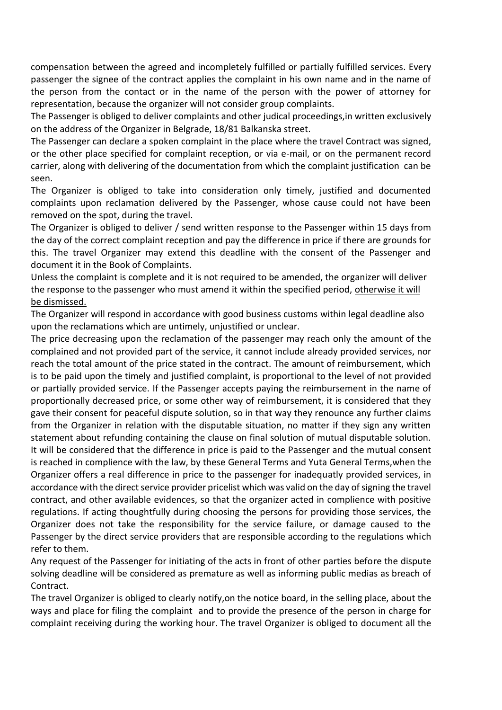compensation between the agreed and incompletely fulfilled or partially fulfilled services. Every passenger the signee of the contract applies the complaint in his own name and in the name of the person from the contact or in the name of the person with the power of attorney for representation, because the organizer will not consider group complaints.

The Passenger is obliged to deliver complaints and other judical proceedings,in written exclusively on the address of the Organizer in Belgrade, 18/81 Balkanska street.

The Passenger can declare a spoken complaint in the place where the travel Contract was signed, or the other place specified for complaint reception, or via e-mail, or on the permanent record carrier, along with delivering of the documentation from which the complaint justification can be seen.

The Organizer is obliged to take into consideration only timely, justified and documented complaints upon reclamation delivered by the Passenger, whose cause could not have been removed on the spot, during the travel.

The Organizer is obliged to deliver / send written response to the Passenger within 15 days from the day of the correct complaint reception and pay the difference in price if there are grounds for this. The travel Organizer may extend this deadline with the consent of the Passenger and document it in the Book of Complaints.

Unless the complaint is complete and it is not required to be amended, the organizer will deliver the response to the passenger who must amend it within the specified period, otherwise it will be dismissed.

The Organizer will respond in accordance with good business customs within legal deadline also upon the reclamations which are untimely, unjustified or unclear.

The price decreasing upon the reclamation of the passenger may reach only the amount of the complained and not provided part of the service, it cannot include already provided services, nor reach the total amount of the price stated in the contract. The amount of reimbursement, which is to be paid upon the timely and justified complaint, is proportional to the level of not provided or partially provided service. If the Passenger accepts paying the reimbursement in the name of proportionally decreased price, or some other way of reimbursement, it is considered that they gave their consent for peaceful dispute solution, so in that way they renounce any further claims from the Organizer in relation with the disputable situation, no matter if they sign any written statement about refunding containing the clause on final solution of mutual disputable solution. It will be considered that the difference in price is paid to the Passenger and the mutual consent is reached in complience with the law, by these General Terms and Yuta General Terms,when the Organizer offers a real difference in price to the passenger for inadequatly provided services, in accordance with the direct service provider pricelist which was valid on the day of signing the travel contract, and other available evidences, so that the organizer acted in complience with positive regulations. If acting thoughtfully during choosing the persons for providing those services, the Organizer does not take the responsibility for the service failure, or damage caused to the Passenger by the direct service providers that are responsible according to the regulations which refer to them.

Any request of the Passenger for initiating of the acts in front of other parties before the dispute solving deadline will be considered as premature as well as informing public medias as breach of Contract.

The travel Organizer is obliged to clearly notify,on the notice board, in the selling place, about the ways and place for filing the complaint and to provide the presence of the person in charge for complaint receiving during the working hour. The travel Organizer is obliged to document all the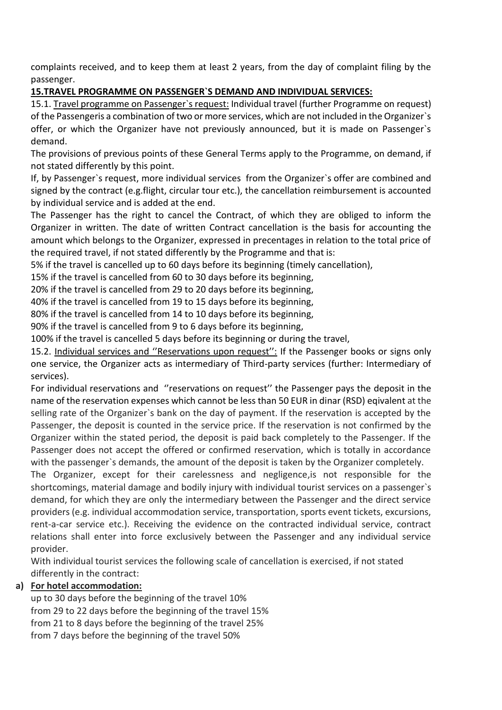complaints received, and to keep them at least 2 years, from the day of complaint filing by the passenger.

# **15.TRAVEL PROGRAMME ON PASSENGER`S DEMAND AND INDIVIDUAL SERVICES:**

15.1. Travel programme on Passenger's request: Individual travel (further Programme on request) of the Passengeris a combination of two or more services, which are not included in the Organizer`s offer, or which the Organizer have not previously announced, but it is made on Passenger`s demand.

The provisions of previous points of these General Terms apply to the Programme, on demand, if not stated differently by this point.

If, by Passenger`s request, more individual services from the Organizer`s offer are combined and signed by the contract (e.g.flight, circular tour etc.), the cancellation reimbursement is accounted by individual service and is added at the end.

The Passenger has the right to cancel the Contract, of which they are obliged to inform the Organizer in written. The date of written Contract cancellation is the basis for accounting the amount which belongs to the Organizer, expressed in precentages in relation to the total price of the required travel, if not stated differently by the Programme and that is:

5% if the travel is cancelled up to 60 days before its beginning (timely cancellation),

15% if the travel is cancelled from 60 to 30 days before its beginning,

20% if the travel is cancelled from 29 to 20 days before its beginning,

40% if the travel is cancelled from 19 to 15 days before its beginning,

80% if the travel is cancelled from 14 to 10 days before its beginning,

90% if the travel is cancelled from 9 to 6 days before its beginning,

100% if the travel is cancelled 5 days before its beginning or during the travel,

15.2. Individual services and ''Reservations upon request'': If the Passenger books or signs only one service, the Organizer acts as intermediary of Third-party services (further: Intermediary of services).

For individual reservations and ''reservations on request'' the Passenger pays the deposit in the name of the reservation expenses which cannot be less than 50 EUR in dinar (RSD) eqivalent at the selling rate of the Organizer`s bank on the day of payment. If the reservation is accepted by the Passenger, the deposit is counted in the service price. If the reservation is not confirmed by the Organizer within the stated period, the deposit is paid back completely to the Passenger. If the Passenger does not accept the offered or confirmed reservation, which is totally in accordance with the passenger`s demands, the amount of the deposit is taken by the Organizer completely.

The Organizer, except for their carelessness and negligence,is not responsible for the shortcomings, material damage and bodily injury with individual tourist services on a passenger`s demand, for which they are only the intermediary between the Passenger and the direct service providers (e.g. individual accommodation service, transportation, sports event tickets, excursions, rent-a-car service etc.). Receiving the evidence on the contracted individual service, contract relations shall enter into force exclusively between the Passenger and any individual service provider.

With individual tourist services the following scale of cancellation is exercised, if not stated differently in the contract:

# **a) For hotel accommodation:**

up to 30 days before the beginning of the travel 10% from 29 to 22 days before the beginning of the travel 15% from 21 to 8 days before the beginning of the travel 25% from 7 days before the beginning of the travel 50%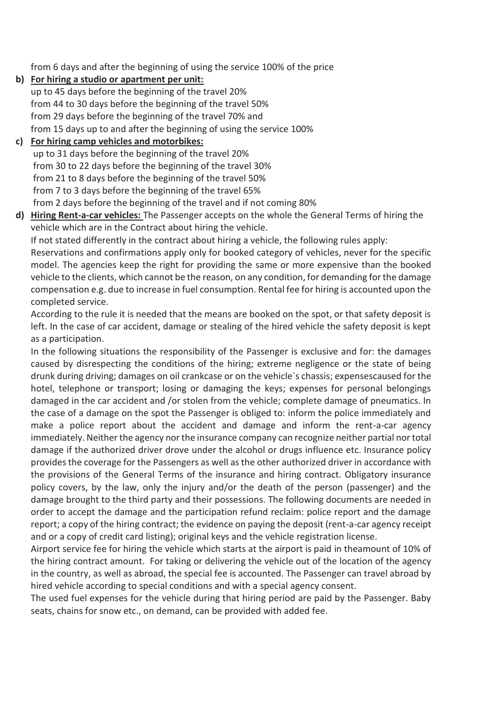from 6 days and after the beginning of using the service 100% of the price

**b) For hiring a studio or apartment per unit:**

up to 45 days before the beginning of the travel 20% from 44 to 30 days before the beginning of the travel 50% from 29 days before the beginning of the travel 70% and from 15 days up to and after the beginning of using the service 100%

# **c) For hiring camp vehicles and motorbikes:**

up to 31 days before the beginning of the travel 20% from 30 to 22 days before the beginning of the travel 30% from 21 to 8 days before the beginning of the travel 50% from 7 to 3 days before the beginning of the travel 65% from 2 days before the beginning of the travel and if not coming 80%

**d) Hiring Rent-a-car vehicles:** The Passenger accepts on the whole the General Terms of hiring the vehicle which are in the Contract about hiring the vehicle.

If not stated differently in the contract about hiring a vehicle, the following rules apply:

Reservations and confirmations apply only for booked category of vehicles, never for the specific model. The agencies keep the right for providing the same or more expensive than the booked vehicle to the clients, which cannot be the reason, on any condition, for demanding for the damage compensation e.g. due to increase in fuel consumption. Rental fee for hiring is accounted upon the completed service.

According to the rule it is needed that the means are booked on the spot, or that safety deposit is left. In the case of car accident, damage or stealing of the hired vehicle the safety deposit is kept as a participation.

In the following situations the responsibility of the Passenger is exclusive and for: the damages caused by disrespecting the conditions of the hiring; extreme negligence or the state of being drunk during driving; damages on oil crankcase or on the vehicle`s chassis; expensescaused for the hotel, telephone or transport; losing or damaging the keys; expenses for personal belongings damaged in the car accident and /or stolen from the vehicle; complete damage of pneumatics. In the case of a damage on the spot the Passenger is obliged to: inform the police immediately and make a police report about the accident and damage and inform the rent-a-car agency immediately. Neither the agency nor the insurance company can recognize neither partial nor total damage if the authorized driver drove under the alcohol or drugs influence etc. Insurance policy provides the coverage for the Passengers as well as the other authorized driver in accordance with the provisions of the General Terms of the insurance and hiring contract. Obligatory insurance policy covers, by the law, only the injury and/or the death of the person (passenger) and the damage brought to the third party and their possessions. The following documents are needed in order to accept the damage and the participation refund reclaim: police report and the damage report; a copy of the hiring contract; the evidence on paying the deposit (rent-a-car agency receipt and or a copy of credit card listing); original keys and the vehicle registration license.

Airport service fee for hiring the vehicle which starts at the airport is paid in theamount of 10% of the hiring contract amount. For taking or delivering the vehicle out of the location of the agency in the country, as well as abroad, the special fee is accounted. The Passenger can travel abroad by hired vehicle according to special conditions and with a special agency consent.

The used fuel expenses for the vehicle during that hiring period are paid by the Passenger. Baby seats, chains for snow etc., on demand, can be provided with added fee.